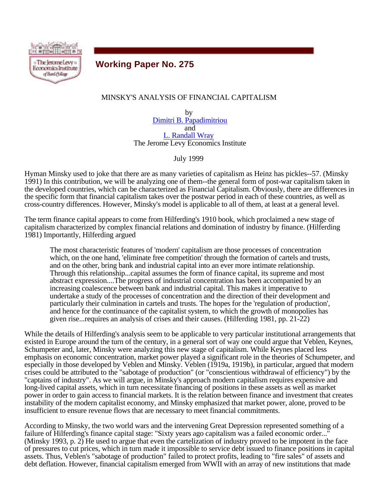

# **Working Paper No. 275**

# MINSKY'S ANALYSIS OF FINANCIAL CAPITALISM

by Dimitri B. Papadimitriou and L. Randall Wray The Jerome Levy Economics Institute

July 1999

Hyman Minsky used to joke that there are as many varieties of capitalism as Heinz has pickles--57. (Minsky 1991) In this contribution, we will be analyzing one of them--the general form of post-war capitalism taken in the developed countries, which can be characterized as Financial Capitalism. Obviously, there are differences in the specific form that financial capitalism takes over the postwar period in each of these countries, as well as cross-country differences. However, Minsky's model is applicable to all of them, at least at a general level.

The term finance capital appears to come from Hilferding's 1910 book, which proclaimed a new stage of capitalism characterized by complex financial relations and domination of industry by finance. (Hilferding 1981) Importantly, Hilferding argued

The most characteristic features of 'modern' capitalism are those processes of concentration which, on the one hand, 'eliminate free competition' through the formation of cartels and trusts, and on the other, bring bank and industrial capital into an ever more intimate relationship. Through this relationship...capital assumes the form of finance capital, its supreme and most abstract expression....The progress of industrial concentration has been accompanied by an increasing coalescence between bank and industrial capital. This makes it imperative to undertake a study of the processes of concentration and the direction of their development and particularly their culmination in cartels and trusts. The hopes for the 'regulation of production', and hence for the continuance of the capitalist system, to which the growth of monopolies has given rise...requires an analysis of crises and their causes. (Hilferding 1981, pp. 21-22)

While the details of Hilferding's analysis seem to be applicable to very particular institutional arrangements that existed in Europe around the turn of the century, in a general sort of way one could argue that Veblen, Keynes, Schumpeter and, later, Minsky were analyzing this new stage of capitalism. While Keynes placed less emphasis on economic concentration, market power played a significant role in the theories of Schumpeter, and especially in those developed by Veblen and Minsky. Veblen (1919a, 1919b), in particular, argued that modern crises could be attributed to the "sabotage of production" (or "conscientious withdrawal of efficiency") by the "captains of industry". As we will argue, in Minsky's approach modern capitalism requires expensive and long-lived capital assets, which in turn necessitate financing of positions in these assets as well as market power in order to gain access to financial markets. It is the relation between finance and investment that creates instability of the modern capitalist economy, and Minsky emphasized that market power, alone, proved to be insufficient to ensure revenue flows that are necessary to meet financial commitments.

According to Minsky, the two world wars and the intervening Great Depression represented something of a failure of Hilferding's finance capital stage: "Sixty years ago capitalism was a failed economic order..." (Minsky 1993, p. 2) He used to argue that even the cartelization of industry proved to be impotent in the face of pressures to cut prices, which in turn made it impossible to service debt issued to finance positions in capital assets. Thus, Veblen's "sabotage of production" failed to protect profits, leading to "fire sales" of assets and debt deflation. However, financial capitalism emerged from WWII with an array of new institutions that made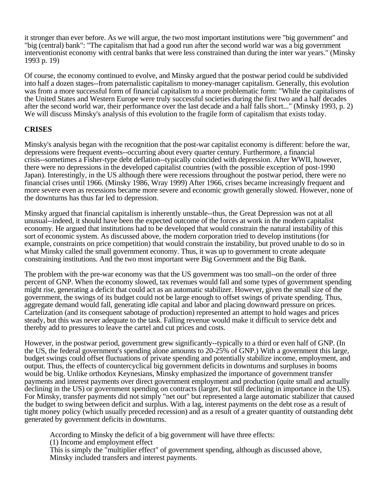it stronger than ever before. As we will argue, the two most important institutions were "big government" and "big (central) bank": "The capitalism that had a good run after the second world war was a big government interventionist economy with central banks that were less constrained than during the inter war years." (Minsky 1993 p. 19)

Of course, the economy continued to evolve, and Minsky argued that the postwar period could be subdivided into half a dozen stages--from paternalistic capitalism to money-manager capitalism. Generally, this evolution was from a more successful form of financial capitalism to a more problematic form: "While the capitalisms of the United States and Western Europe were truly successful societies during the first two and a half decades after the second world war, their performance over the last decade and a half falls short..." (Minsky 1993, p. 2) We will discuss Minsky's analysis of this evolution to the fragile form of capitalism that exists today.

# **CRISES**

Minsky's analysis began with the recognition that the post-war capitalist economy is different: before the war, depressions were frequent events--occurring about every quarter century. Furthermore, a financial crisis--sometimes a Fisher-type debt deflation--typically coincided with depression. After WWII, however, there were no depressions in the developed capitalist countries (with the possible exception of post-1990 Japan). Interestingly, in the US although there were recessions throughout the postwar period, there were no financial crises until 1966. (Minsky 1986, Wray 1999) After 1966, crises became increasingly frequent and more severe even as recessions became more severe and economic growth generally slowed. However, none of the downturns has thus far led to depression.

Minsky argued that financial capitalism is inherently unstable--thus, the Great Depression was not at all unusual--indeed, it should have been the expected outcome of the forces at work in the modern capitalist economy. He argued that institutions had to be developed that would constrain the natural instability of this sort of economic system. As discussed above, the modern corporation tried to develop institutions (for example, constraints on price competition) that would constrain the instability, but proved unable to do so in what Minsky called the small government economy. Thus, it was up to government to create adequate constraining institutions. And the two most important were Big Government and the Big Bank.

The problem with the pre-war economy was that the US government was too small--on the order of three percent of GNP. When the economy slowed, tax revenues would fall and some types of government spending might rise, generating a deficit that could act as an automatic stabilizer. However, given the small size of the government, the swings of its budget could not be large enough to offset swings of private spending. Thus, aggregate demand would fall, generating idle capital and labor and placing downward pressure on prices. Cartelization (and its consequent sabotage of production) represented an attempt to hold wages and prices steady, but this was never adequate to the task. Falling revenue would make it difficult to service debt and thereby add to pressures to leave the cartel and cut prices and costs.

However, in the postwar period, government grew significantly--typically to a third or even half of GNP. (In the US, the federal government's spending alone amounts to 20-25% of GNP.) With a government this large, budget swings could offset fluctuations of private spending and potentially stabilize income, employment, and output. Thus, the effects of countercyclical big government deficits in downturns and surpluses in booms would be big. Unlike orthodox Keynesians, Minsky emphasized the importance of government transfer payments and interest payments over direct government employment and production (quite small and actually declining in the US) or government spending on contracts (larger, but still declining in importance in the US). For Minsky, transfer payments did not simply "net out" but represented a large automatic stabilizer that caused the budget to swing between deficit and surplus. With a lag, interest payments on the debt rose as a result of tight money policy (which usually preceded recession) and as a result of a greater quantity of outstanding debt generated by government deficits in downturns.

According to Minsky the deficit of a big government will have three effects:

(1) Income and employment effect

This is simply the "multiplier effect" of government spending, although as discussed above, Minsky included transfers and interest payments.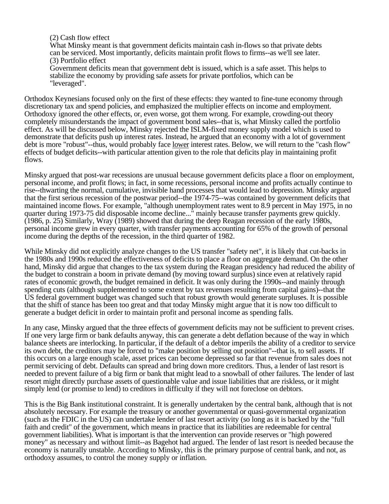#### (2) Cash flow effect

What Minsky meant is that government deficits maintain cash in-flows so that private debts can be serviced. Most importantly, deficits maintain profit flows to firms--as we'll see later. (3) Portfolio effect

Government deficits mean that government debt is issued, which is a safe asset. This helps to stabilize the economy by providing safe assets for private portfolios, which can be "leveraged".

Orthodox Keynesians focused only on the first of these effects: they wanted to fine-tune economy through discretionary tax and spend policies, and emphasized the multiplier effects on income and employment. Orthodoxy ignored the other effects, or, even worse, got them wrong. For example, crowding-out theory completely misunderstands the impact of government bond sales--that is, what Minsky called the portfolio effect. As will be discussed below, Minsky rejected the ISLM-fixed money supply model which is used to demonstrate that deficits push up interest rates. Instead, he argued that an economy with a lot of government debt is more "robust"--thus, would probably face lower interest rates. Below, we will return to the "cash flow" effects of budget deficits--with particular attention given to the role that deficits play in maintaining profit flows.

Minsky argued that post-war recessions are unusual because government deficits place a floor on employment, personal income, and profit flows; in fact, in some recessions, personal income and profits actually continue to rise--thwarting the normal, cumulative, invisible hand processes that would lead to depression. Minsky argued that the first serious recession of the postwar period--the 1974-75--was contained by government deficits that maintained income flows. For example, "although unemployment rates went to 8.9 percent in May 1975, in no quarter during 1973-75 did disposable income decline..." mainly because transfer payments grew quickly. (1986, p. 25) Similarly, Wray (1989) showed that during the deep Reagan recession of the early 1980s, personal income grew in every quarter, with transfer payments accounting for 65% of the growth of personal income during the depths of the recession, in the third quarter of 1982.

While Minsky did not explicitly analyze changes to the US transfer "safety net", it is likely that cut-backs in the 1980s and 1990s reduced the effectiveness of deficits to place a floor on aggregate demand. On the other hand, Minsky did argue that changes to the tax system during the Reagan presidency had reduced the ability of the budget to constrain a boom in private demand (by moving toward surplus) since even at relatively rapid rates of economic growth, the budget remained in deficit. It was only during the 1990s--and mainly through spending cuts (although supplemented to some extent by tax revenues resulting from capital gains)--that the US federal government budget was changed such that robust growth would generate surpluses. It is possible that the shift of stance has been too great and that today Minsky might argue that it is now too difficult to generate a budget deficit in order to maintain profit and personal income as spending falls.

In any case, Minsky argued that the three effects of government deficits may not be sufficient to prevent crises. If one very large firm or bank defaults anyway, this can generate a debt deflation because of the way in which balance sheets are interlocking. In particular, if the default of a debtor imperils the ability of a creditor to service its own debt, the creditors may be forced to "make position by selling out position"--that is, to sell assets. If this occurs on a large enough scale, asset prices can become depressed so far that revenue from sales does not permit servicing of debt. Defaults can spread and bring down more creditors. Thus, a lender of last resort is needed to prevent failure of a big firm or bank that might lead to a snowball of other failures. The lender of last resort might directly purchase assets of questionable value and issue liabilities that are riskless, or it might simply lend (or promise to lend) to creditors in difficulty if they will not foreclose on debtors.

This is the Big Bank institutional constraint. It is generally undertaken by the central bank, although that is not absolutely necessary. For example the treasury or another governmental or quasi-governmental organization (such as the FDIC in the US) can undertake lender of last resort activity (so long as it is backed by the "full faith and credit" of the government, which means in practice that its liabilities are redeemable for central government liabilities). What is important is that the intervention can provide reserves or "high powered money" as necessary and without limit--as Bagehot had argued. The lender of last resort is needed because the economy is naturally unstable. According to Minsky, this is the primary purpose of central bank, and not, as orthodoxy assumes, to control the money supply or inflation.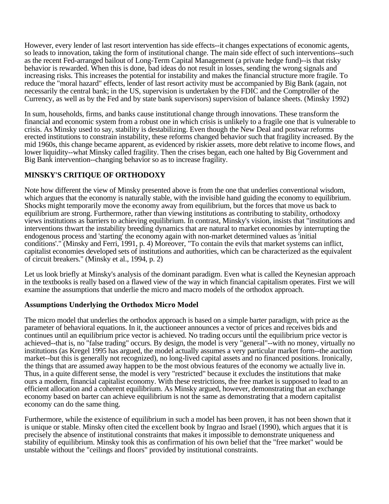However, every lender of last resort intervention has side effects--it changes expectations of economic agents, so leads to innovation, taking the form of institutional change. The main side effect of such interventions--such as the recent Fed-arranged bailout of Long-Term Capital Management (a private hedge fund)--is that risky behavior is rewarded. When this is done, bad ideas do not result in losses, sending the wrong signals and increasing risks. This increases the potential for instability and makes the financial structure more fragile. To reduce the "moral hazard" effects, lender of last resort activity must be accompanied by Big Bank (again, not necessarily the central bank; in the US, supervision is undertaken by the FDIC and the Comptroller of the Currency, as well as by the Fed and by state bank supervisors) supervision of balance sheets. (Minsky 1992)

In sum, households, firms, and banks cause institutional change through innovations. These transform the financial and economic system from a robust one in which crisis is unlikely to a fragile one that is vulnerable to crisis. As Minsky used to say, stability is destabilizing. Even though the New Deal and postwar reforms erected institutions to constrain instability, these reforms changed behavior such that fragility increased. By the mid 1960s, this change became apparent, as evidenced by riskier assets, more debt relative to income flows, and lower liquidity--what Minsky called fragility. Then the crises began, each one halted by Big Government and Big Bank intervention--changing behavior so as to increase fragility.

# **MINSKY'S CRITIQUE OF ORTHODOXY**

Note how different the view of Minsky presented above is from the one that underlies conventional wisdom, which argues that the economy is naturally stable, with the invisible hand guiding the economy to equilibrium. Shocks might temporarily move the economy away from equilibrium, but the forces that move us back to equilibrium are strong. Furthermore, rather than viewing institutions as contributing to stability, orthodoxy views institutions as barriers to achieving equilibrium. In contrast, Minsky's vision, insists that "institutions and interventions thwart the instability breeding dynamics that are natural to market economies by interrupting the endogenous process and 'starting' the economy again with non-market determined values as 'initial conditions'." (Minsky and Ferri, 1991, p. 4) Moreover, "To contain the evils that market systems can inflict, capitalist economies developed sets of institutions and authorities, which can be characterized as the equivalent of circuit breakers." (Minsky et al., 1994, p. 2)

Let us look briefly at Minsky's analysis of the dominant paradigm. Even what is called the Keynesian approach in the textbooks is really based on a flawed view of the way in which financial capitalism operates. First we will examine the assumptions that underlie the micro and macro models of the orthodox approach.

# **Assumptions Underlying the Orthodox Micro Model**

The micro model that underlies the orthodox approach is based on a simple barter paradigm, with price as the parameter of behavioral equations. In it, the auctioneer announces a vector of prices and receives bids and continues until an equilibrium price vector is achieved. No trading occurs until the equilibrium price vector is achieved--that is, no "false trading" occurs. By design, the model is very "general"--with no money, virtually no institutions (as Kregel 1995 has argued, the model actually assumes a very particular market form--the auction market--but this is generally not recognized), no long-lived capital assets and no financed positions. Ironically, the things that are assumed away happen to be the most obvious features of the economy we actually live in. Thus, in a quite different sense, the model is very "restricted" because it excludes the institutions that make ours a modern, financial capitalist economy. With these restrictions, the free market is supposed to lead to an efficient allocation and a coherent equilibrium. As Minsky argued, however, demonstrating that an exchange economy based on barter can achieve equilibrium is not the same as demonstrating that a modern capitalist economy can do the same thing.

Furthermore, while the existence of equilibrium in such a model has been proven, it has not been shown that it is unique or stable. Minsky often cited the excellent book by Ingrao and Israel (1990), which argues that it is precisely the absence of institutional constraints that makes it impossible to demonstrate uniqueness and stability of equilibrium. Minsky took this as confirmation of his own belief that the "free market" would be unstable without the "ceilings and floors" provided by institutional constraints.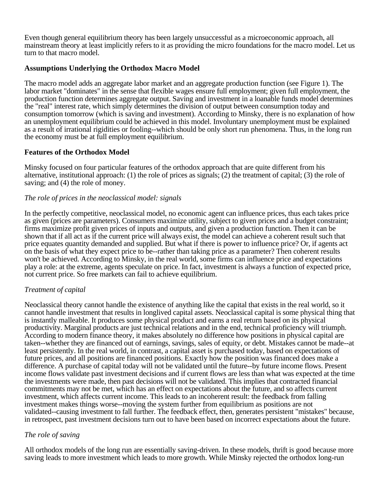Even though general equilibrium theory has been largely unsuccessful as a microeconomic approach, all mainstream theory at least implicitly refers to it as providing the micro foundations for the macro model. Let us turn to that macro model.

### **Assumptions Underlying the Orthodox Macro Model**

The macro model adds an aggregate labor market and an aggregate production function (see Figure 1). The labor market "dominates" in the sense that flexible wages ensure full employment; given full employment, the production function determines aggregate output. Saving and investment in a loanable funds model determines the "real" interest rate, which simply determines the division of output between consumption today and consumption tomorrow (which is saving and investment). According to Minsky, there is no explanation of how an unemployment equilibrium could be achieved in this model. Involuntary unemployment must be explained as a result of irrational rigidities or fooling--which should be only short run phenomena. Thus, in the long run the economy must be at full employment equilibrium.

### **Features of the Orthodox Model**

Minsky focused on four particular features of the orthodox approach that are quite different from his alternative, institutional approach: (1) the role of prices as signals; (2) the treatment of capital; (3) the role of saving; and (4) the role of money.

### *The role of prices in the neoclassical model: signals*

In the perfectly competitive, neoclassical model, no economic agent can influence prices, thus each takes price as given (prices are parameters). Consumers maximize utility, subject to given prices and a budget constraint; firms maximize profit given prices of inputs and outputs, and given a production function. Then it can be shown that if all act as if the current price will always exist, the model can achieve a coherent result such that price equates quantity demanded and supplied. But what if there is power to influence price? Or, if agents act on the basis of what they expect price to be--rather than taking price as a parameter? Then coherent results won't be achieved. According to Minsky, in the real world, some firms can influence price and expectations play a role: at the extreme, agents speculate on price. In fact, investment is always a function of expected price, not current price. So free markets can fail to achieve equilibrium.

#### *Treatment of capital*

Neoclassical theory cannot handle the existence of anything like the capital that exists in the real world, so it cannot handle investment that results in longlived capital assets. Neoclassical capital is some physical thing that is instantly malleable. It produces some physical product and earns a real return based on its physical productivity. Marginal products are just technical relations and in the end, technical proficiency will triumph. According to modern finance theory, it makes absolutely no difference how positions in physical capital are taken--whether they are financed out of earnings, savings, sales of equity, or debt. Mistakes cannot be made--at least persistently. In the real world, in contrast, a capital asset is purchased today, based on expectations of future prices, and all positions are financed positions. Exactly how the position was financed does make a difference. A purchase of capital today will not be validated until the future--by future income flows. Present income flows validate past investment decisions and if current flows are less than what was expected at the time the investments were made, then past decisions will not be validated. This implies that contracted financial commitments may not be met, which has an effect on expectations about the future, and so affects current investment, which affects current income. This leads to an incoherent result: the feedback from falling investment makes things worse--moving the system further from equilibrium as positions are not validated--causing investment to fall further. The feedback effect, then, generates persistent "mistakes" because, in retrospect, past investment decisions turn out to have been based on incorrect expectations about the future.

# *The role of saving*

All orthodox models of the long run are essentially saving-driven. In these models, thrift is good because more saving leads to more investment which leads to more growth. While Minsky rejected the orthodox long-run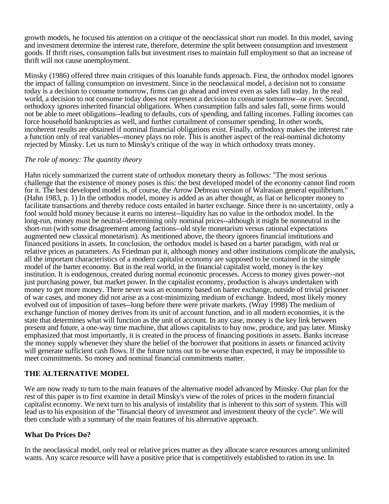growth models, he focused his attention on a critique of the neoclassical short run model. In this model, saving and investment determine the interest rate, therefore, determine the split between consumption and investment goods. If thrift rises, consumption falls but investment rises to maintain full employment so that an increase of thrift will not cause unemployment.

Minsky (1986) offered three main critiques of this loanable funds approach. First, the orthodox model ignores the impact of falling consumption on investment. Since in the neoclassical model, a decision not to consume today is a decision to consume tomorrow, firms can go ahead and invest even as sales fall today. In the real world, a decision to not consume today does not represent a decision to consume tomorrow--or ever. Second, orthodoxy ignores inherited financial obligations. When consumption falls and sales fall, some firms would not be able to meet obligations--leading to defaults, cuts of spending, and falling incomes. Falling incomes can force household bankruptcies as well, and further curtailment of consumer spending. In other words, incoherent results are obtained if nominal financial obligations exist. Finally, orthodoxy makes the interest rate a function only of real variables--money plays no role. This is another aspect of the real-nominal dichotomy rejected by Minsky. Let us turn to Minsky's critique of the way in which orthodoxy treats money.

#### *The role of money: The quantity theory*

Hahn nicely summarized the current state of orthodox monetary theory as follows: "The most serious challenge that the existence of money poses is this: the best developed model of the economy cannot find room for it. The best developed model is, of course, the Arrow Debreau version of Walrasian general equilibrium." (Hahn 1983, p. 1) In the orthodox model, money is added as an after thought, as fiat or helicopter money to facilitate transactions and thereby reduce costs entailed in barter exchange. Since there is no uncertainty, only a fool would hold money because it earns no interest--liquidity has no value in the orthodox model. In the long-run, money must be neutral--determining only nominal prices--although it might be nonneutral in the short-run (with some disagreement among factions--old style monetarism versus rational expectations augmented new classical monetarism). As mentioned above, the theory ignores financial institutions and financed positions in assets. In conclusion, the orthodox model is based on a barter paradigm, with real or relative prices as parameters. As Friedman put it, although money and other institutions complicate the analysis, all the important characteristics of a modern capitalist economy are supposed to be contained in the simple model of the barter economy. But in the real world, in the financial capitalist world, money is the key institution. It is endogenous, created during normal economic processes. Access to money gives power--not just purchasing power, but market power. In the capitalist economy, production is always undertaken with money to get more money. There never was an economy based on barter exchange, outside of trivial prisoner of war cases, and money did not arise as a cost-minimizing medium of exchange. Indeed, most likely money evolved out of imposition of taxes--long before there were private markets. (Wray 1998) The medium of exchange function of money derives from its unit of account function, and in all modern economies, it is the state that determines what will function as the unit of account. In any case, money is the key link between present and future, a one-way time machine, that allows capitalists to buy now, produce, and pay later. Minsky emphasized that most importantly, it is created in the process of financing positions in assets. Banks increase the money supply whenever they share the belief of the borrower that positions in assets or financed activity will generate sufficient cash flows. If the future turns out to be worse than expected, it may be impossible to meet commitments. So money and nominal financial commitments matter.

# **THE ALTERNATIVE MODEL**

We are now ready to turn to the main features of the alternative model advanced by Minsky. Our plan for the rest of this paper is to first examine in detail Minsky's view of the roles of prices in the modern financial capitalist economy. We next turn to his analysis of instability that is inherent to this sort of system. This will lead us to his exposition of the "financial theory of investment and investment theory of the cycle". We will then conclude with a summary of the main features of his alternative approach.

#### **What Do Prices Do?**

In the neoclassical model, only real or relative prices matter as they allocate scarce resources among unlimited wants. Any scarce resource will have a positive price that is competitively established to ration its use. In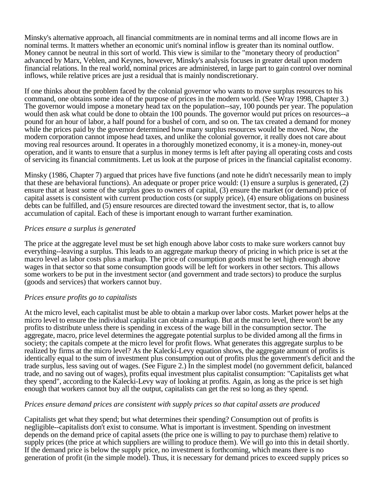Minsky's alternative approach, all financial commitments are in nominal terms and all income flows are in nominal terms. It matters whether an economic unit's nominal inflow is greater than its nominal outflow. Money cannot be neutral in this sort of world. This view is similar to the "monetary theory of production" advanced by Marx, Veblen, and Keynes, however, Minsky's analysis focuses in greater detail upon modern financial relations. In the real world, nominal prices are administered, in large part to gain control over nominal inflows, while relative prices are just a residual that is mainly nondiscretionary.

If one thinks about the problem faced by the colonial governor who wants to move surplus resources to his command, one obtains some idea of the purpose of prices in the modern world. (See Wray 1998, Chapter 3.) The governor would impose a monetary head tax on the population--say, 100 pounds per year. The population would then ask what could be done to obtain the 100 pounds. The governor would put prices on resources--a pound for an hour of labor, a half pound for a bushel of corn, and so on. The tax created a demand for money while the prices paid by the governor determined how many surplus resources would be moved. Now, the modern corporation cannot impose head taxes, and unlike the colonial governor, it really does not care about moving real resources around. It operates in a thoroughly monetized economy, it is a money-in, money-out operation, and it wants to ensure that a surplus in money terms is left after paying all operating costs and costs of servicing its financial commitments. Let us look at the purpose of prices in the financial capitalist economy.

Minsky (1986, Chapter 7) argued that prices have five functions (and note he didn't necessarily mean to imply that these are behavioral functions). An adequate or proper price would: (1) ensure a surplus is generated, (2) ensure that at least some of the surplus goes to owners of capital, (3) ensure the market (or demand) price of capital assets is consistent with current production costs (or supply price), (4) ensure obligations on business debts can be fulfilled, and (5) ensure resources are directed toward the investment sector, that is, to allow accumulation of capital. Each of these is important enough to warrant further examination.

#### *Prices ensure a surplus is generated*

The price at the aggregate level must be set high enough above labor costs to make sure workers cannot buy everything--leaving a surplus. This leads to an aggregate markup theory of pricing in which price is set at the macro level as labor costs plus a markup. The price of consumption goods must be set high enough above wages in that sector so that some consumption goods will be left for workers in other sectors. This allows some workers to be put in the investment sector (and government and trade sectors) to produce the surplus (goods and services) that workers cannot buy.

#### *Prices ensure profits go to capitalists*

At the micro level, each capitalist must be able to obtain a markup over labor costs. Market power helps at the micro level to ensure the individual capitalist can obtain a markup. But at the macro level, there won't be any profits to distribute unless there is spending in excess of the wage bill in the consumption sector. The aggregate, macro, price level determines the aggregate potential surplus to be divided among all the firms in society; the capitals compete at the micro level for profit flows. What generates this aggregate surplus to be realized by firms at the micro level? As the Kalecki-Levy equation shows, the aggregate amount of profits is identically equal to the sum of investment plus consumption out of profits plus the government's deficit and the trade surplus, less saving out of wages. (See Figure 2.) In the simplest model (no government deficit, balanced trade, and no saving out of wages), profits equal investment plus capitalist consumption: "Capitalists get what they spend", according to the Kalecki-Levy way of looking at profits. Again, as long as the price is set high enough that workers cannot buy all the output, capitalists can get the rest so long as they spend.

#### *Prices ensure demand prices are consistent with supply prices so that capital assets are produced*

Capitalists get what they spend; but what determines their spending? Consumption out of profits is negligible--capitalists don't exist to consume. What is important is investment. Spending on investment depends on the demand price of capital assets (the price one is willing to pay to purchase them) relative to supply prices (the price at which suppliers are willing to produce them). We will go into this in detail shortly. If the demand price is below the supply price, no investment is forthcoming, which means there is no generation of profit (in the simple model). Thus, it is necessary for demand prices to exceed supply prices so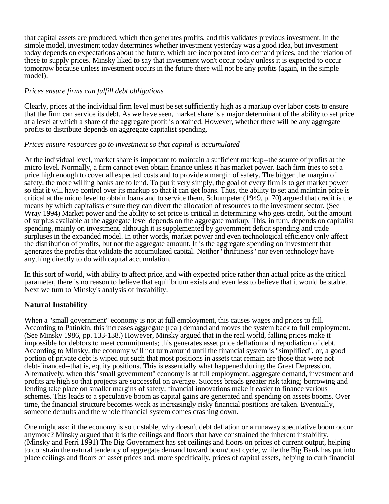that capital assets are produced, which then generates profits, and this validates previous investment. In the simple model, investment today determines whether investment yesterday was a good idea, but investment today depends on expectations about the future, which are incorporated into demand prices, and the relation of these to supply prices. Minsky liked to say that investment won't occur today unless it is expected to occur tomorrow because unless investment occurs in the future there will not be any profits (again, in the simple model).

#### *Prices ensure firms can fulfill debt obligations*

Clearly, prices at the individual firm level must be set sufficiently high as a markup over labor costs to ensure that the firm can service its debt. As we have seen, market share is a major determinant of the ability to set price at a level at which a share of the aggregate profit is obtained. However, whether there will be any aggregate profits to distribute depends on aggregate capitalist spending.

#### *Prices ensure resources go to investment so that capital is accumulated*

At the individual level, market share is important to maintain a sufficient markup--the source of profits at the micro level. Normally, a firm cannot even obtain finance unless it has market power. Each firm tries to set a price high enough to cover all expected costs and to provide a margin of safety. The bigger the margin of safety, the more willing banks are to lend. To put it very simply, the goal of every firm is to get market power so that it will have control over its markup so that it can get loans. Thus, the ability to set and maintain price is critical at the micro level to obtain loans and to service them. Schumpeter (1949, p. 70) argued that credit is the means by which capitalists ensure they can divert the allocation of resources to the investment sector. (See Wray 1994) Market power and the ability to set price is critical in determining who gets credit, but the amount of surplus available at the aggregate level depends on the aggregate markup. This, in turn, depends on capitalist spending, mainly on investment, although it is supplemented by government deficit spending and trade surpluses in the expanded model. In other words, market power and even technological efficiency only affect the distribution of profits, but not the aggregate amount. It is the aggregate spending on investment that generates the profits that validate the accumulated capital. Neither "thriftiness" nor even technology have anything directly to do with capital accumulation.

In this sort of world, with ability to affect price, and with expected price rather than actual price as the critical parameter, there is no reason to believe that equilibrium exists and even less to believe that it would be stable. Next we turn to Minsky's analysis of instability.

# **Natural Instability**

When a "small government" economy is not at full employment, this causes wages and prices to fall. According to Patinkin, this increases aggregate (real) demand and moves the system back to full employment. (See Minsky 1986, pp. 133-138.) However, Minsky argued that in the real world, falling prices make it impossible for debtors to meet commitments; this generates asset price deflation and repudiation of debt. According to Minsky, the economy will not turn around until the financial system is "simplified", or, a good portion of private debt is wiped out such that most positions in assets that remain are those that were not debt-financed--that is, equity positions. This is essentially what happened during the Great Depression. Alternatively, when this "small government" economy is at full employment, aggregate demand, investment and profits are high so that projects are successful on average. Success breads greater risk taking; borrowing and lending take place on smaller margins of safety; financial innovations make it easier to finance various schemes. This leads to a speculative boom as capital gains are generated and spending on assets booms. Over time, the financial structure becomes weak as increasingly risky financial positions are taken. Eventually, someone defaults and the whole financial system comes crashing down.

One might ask: if the economy is so unstable, why doesn't debt deflation or a runaway speculative boom occur anymore? Minsky argued that it is the ceilings and floors that have constrained the inherent instability. (Minsky and Ferri 1991) The Big Government has set ceilings and floors on prices of current output, helping to constrain the natural tendency of aggregate demand toward boom/bust cycle, while the Big Bank has put into place ceilings and floors on asset prices and, more specifically, prices of capital assets, helping to curb financial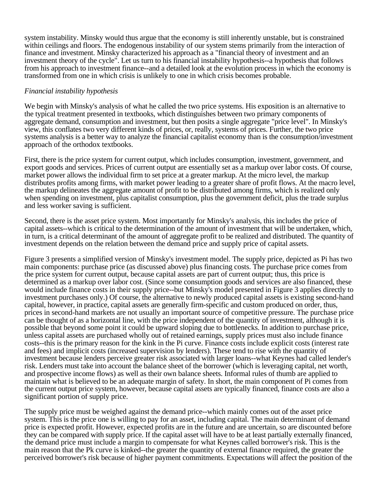system instability. Minsky would thus argue that the economy is still inherently unstable, but is constrained within ceilings and floors. The endogenous instability of our system stems primarily from the interaction of finance and investment. Minsky characterized his approach as a "financial theory of investment and an investment theory of the cycle". Let us turn to his financial instability hypothesis--a hypothesis that follows from his approach to investment finance--and a detailed look at the evolution process in which the economy is transformed from one in which crisis is unlikely to one in which crisis becomes probable.

#### *Financial instability hypothesis*

We begin with Minsky's analysis of what he called the two price systems. His exposition is an alternative to the typical treatment presented in textbooks, which distinguishes between two primary components of aggregate demand, consumption and investment, but then posits a single aggregate "price level". In Minsky's view, this conflates two very different kinds of prices, or, really, systems of prices. Further, the two price systems analysis is a better way to analyze the financial capitalist economy than is the consumption/investment approach of the orthodox textbooks.

First, there is the price system for current output, which includes consumption, investment, government, and export goods and services. Prices of current output are essentially set as a markup over labor costs. Of course, market power allows the individual firm to set price at a greater markup. At the micro level, the markup distributes profits among firms, with market power leading to a greater share of profit flows. At the macro level, the markup delineates the aggregate amount of profit to be distributed among firms, which is realized only when spending on investment, plus capitalist consumption, plus the government deficit, plus the trade surplus and less worker saving is sufficient.

Second, there is the asset price system. Most importantly for Minsky's analysis, this includes the price of capital assets--which is critical to the determination of the amount of investment that will be undertaken, which, in turn, is a critical determinant of the amount of aggregate profit to be realized and distributed. The quantity of investment depends on the relation between the demand price and supply price of capital assets.

Figure 3 presents a simplified version of Minsky's investment model. The supply price, depicted as Pi has two main components: purchase price (as discussed above) plus financing costs. The purchase price comes from the price system for current output, because capital assets are part of current output; thus, this price is determined as a markup over labor cost. (Since some consumption goods and services are also financed, these would include finance costs in their supply price--but Minsky's model presented in Figure 3 applies directly to investment purchases only.) Of course, the alternative to newly produced capital assets is existing second-hand capital, however, in practice, capital assets are generally firm-specific and custom produced on order, thus, prices in second-hand markets are not usually an important source of competitive pressure. The purchase price can be thought of as a horizontal line, with the price independent of the quantity of investment, although it is possible that beyond some point it could be upward sloping due to bottlenecks. In addition to purchase price, unless capital assets are purchased wholly out of retained earnings, supply prices must also include finance costs--this is the primary reason for the kink in the Pi curve. Finance costs include explicit costs (interest rate and fees) and implicit costs (increased supervision by lenders). These tend to rise with the quantity of investment because lenders perceive greater risk associated with larger loans--what Keynes had called lender's risk. Lenders must take into account the balance sheet of the borrower (which is leveraging capital, net worth, and prospective income flows) as well as their own balance sheets. Informal rules of thumb are applied to maintain what is believed to be an adequate margin of safety. In short, the main component of Pi comes from the current output price system, however, because capital assets are typically financed, finance costs are also a significant portion of supply price.

The supply price must be weighed against the demand price--which mainly comes out of the asset price system. This is the price one is willing to pay for an asset, including capital. The main determinant of demand price is expected profit. However, expected profits are in the future and are uncertain, so are discounted before they can be compared with supply price. If the capital asset will have to be at least partially externally financed, the demand price must include a margin to compensate for what Keynes called borrower's risk. This is the main reason that the Pk curve is kinked--the greater the quantity of external finance required, the greater the perceived borrower's risk because of higher payment commitments. Expectations will affect the position of the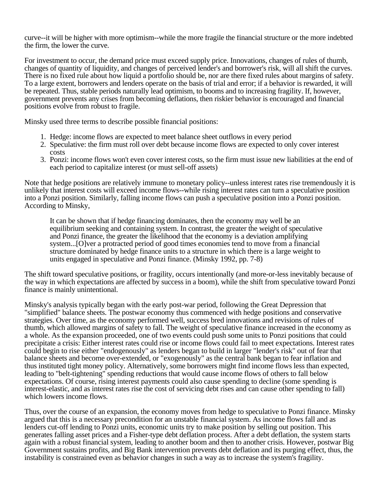curve--it will be higher with more optimism--while the more fragile the financial structure or the more indebted the firm, the lower the curve.

For investment to occur, the demand price must exceed supply price. Innovations, changes of rules of thumb, changes of quantity of liquidity, and changes of perceived lender's and borrower's risk, will all shift the curves. There is no fixed rule about how liquid a portfolio should be, nor are there fixed rules about margins of safety. To a large extent, borrowers and lenders operate on the basis of trial and error; if a behavior is rewarded, it will be repeated. Thus, stable periods naturally lead optimism, to booms and to increasing fragility. If, however, government prevents any crises from becoming deflations, then riskier behavior is encouraged and financial positions evolve from robust to fragile.

Minsky used three terms to describe possible financial positions:

- 1. Hedge: income flows are expected to meet balance sheet outflows in every period
- 2. Speculative: the firm must roll over debt because income flows are expected to only cover interest costs
- 3. Ponzi: income flows won't even cover interest costs, so the firm must issue new liabilities at the end of each period to capitalize interest (or must sell-off assets)

Note that hedge positions are relatively immune to monetary policy--unless interest rates rise tremendously it is unlikely that interest costs will exceed income flows--while rising interest rates can turn a speculative position into a Ponzi position. Similarly, falling income flows can push a speculative position into a Ponzi position. According to Minsky,

It can be shown that if hedge financing dominates, then the economy may well be an equilibrium seeking and containing system. In contrast, the greater the weight of speculative and Ponzi finance, the greater the likelihood that the economy is a deviation amplifying system...[O]ver a protracted period of good times economies tend to move from a financial structure dominated by hedge finance units to a structure in which there is a large weight to units engaged in speculative and Ponzi finance. (Minsky 1992, pp. 7-8)

The shift toward speculative positions, or fragility, occurs intentionally (and more-or-less inevitably because of the way in which expectations are affected by success in a boom), while the shift from speculative toward Ponzi finance is mainly unintentional.

Minsky's analysis typically began with the early post-war period, following the Great Depression that "simplified" balance sheets. The postwar economy thus commenced with hedge positions and conservative strategies. Over time, as the economy performed well, success bred innovations and revisions of rules of thumb, which allowed margins of safety to fall. The weight of speculative finance increased in the economy as a whole. As the expansion proceeded, one of two events could push some units to Ponzi positions that could precipitate a crisis: Either interest rates could rise or income flows could fail to meet expectations. Interest rates could begin to rise either "endogenously" as lenders began to build in larger "lender's risk" out of fear that balance sheets and become over-extended, or "exogenously" as the central bank began to fear inflation and thus instituted tight money policy. Alternatively, some borrowers might find income flows less than expected, leading to "belt-tightening" spending reductions that would cause income flows of others to fall below expectations. Of course, rising interest payments could also cause spending to decline (some spending is interest-elastic, and as interest rates rise the cost of servicing debt rises and can cause other spending to fall) which lowers income flows.

Thus, over the course of an expansion, the economy moves from hedge to speculative to Ponzi finance. Minsky argued that this is a necessary precondition for an unstable financial system. As income flows fall and as lenders cut-off lending to Ponzi units, economic units try to make position by selling out position. This generates falling asset prices and a Fisher-type debt deflation process. After a debt deflation, the system starts again with a robust financial system, leading to another boom and then to another crisis. However, postwar Big Government sustains profits, and Big Bank intervention prevents debt deflation and its purging effect, thus, the instability is constrained even as behavior changes in such a way as to increase the system's fragility.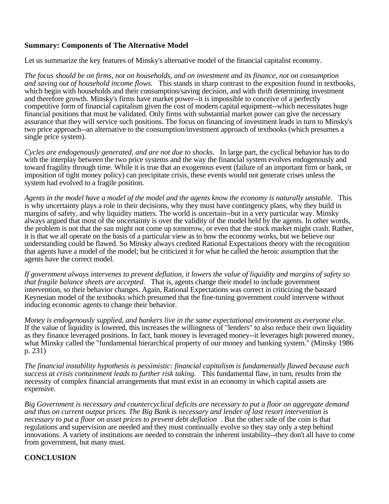### **Summary: Components of The Alternative Model**

Let us summarize the key features of Minsky's alternative model of the financial capitalist economy.

*The focus should be on firms, not on households, and on investment and its finance, not on consumption and saving out of household income flows.* This stands in sharp contrast to the exposition found in textbooks, which begin with households and their consumption/saving decision, and with thrift determining investment and therefore growth. Minsky's firms have market power--it is impossible to conceive of a perfectly competitive form of financial capitalism given the cost of modern capital equipment--which necessitates huge financial positions that must be validated. Only firms with substantial market power can give the necessary assurance that they will service such positions. The focus on financing of investment leads in turn to Minsky's two price approach--an alternative to the consumption/investment approach of textbooks (which presumes a single price system).

*Cycles are endogenously generated, and are not due to shocks.* In large part, the cyclical behavior has to do with the interplay between the two price systems and the way the financial system evolves endogenously and toward fragility through time. While it is true that an exogenous event (failure of an important firm or bank, or imposition of tight money policy) can precipitate crisis, these events would not generate crises unless the system had evolved to a fragile position.

*Agents in the model have a model of the model and the agents know the economy is naturally unstable.* This is why uncertainty plays a role in their decisions, why they must have contingency plans, why they build in margins of safety, and why liquidity matters. The world is uncertain--but in a very particular way. Minsky always argued that most of the uncertainty is over the validity of the model held by the agents. In other words, the problem is not that the sun might not come up tomorrow, or even that the stock market might crash. Rather, it is that we all operate on the basis of a particular view as to how the economy works, but we believe our understanding could be flawed. So Minsky always credited Rational Expectations theory with the recognition that agents have a model of the model; but he criticized it for what he called the heroic assumption that the agents have the correct model.

*If government always intervenes to prevent deflation, it lowers the value of liquidity and margins of safety so that fragile balance sheets are accepted.* That is, agents change their model to include government intervention, so their behavior changes. Again, Rational Expectations was correct in criticizing the bastard Keynesian model of the textbooks which presumed that the fine-tuning government could intervene without inducing economic agents to change their behavior.

*Money is endogenously supplied, and bankers live in the same expectational environment as everyone else.* If the value of liquidity is lowered, this increases the willingness of "lenders" to also reduce their own liquidity as they finance leveraged positions. In fact, bank money is leveraged money--it leverages high powered money, what Minsky called the "fundamental hierarchical property of our money and banking system." (Minsky 1986 p. 231)

*The financial instability hypothesis is pessimistic: financial capitalism is fundamentally flawed because each success at crisis containment leads to further risk taking.* This fundamental flaw, in turn, results from the necessity of complex financial arrangements that must exist in an economy in which capital assets are expensive.

*Big Government is necessary and countercyclical deficits are necessary to put a floor on aggregate demand and thus on current output prices. The Big Bank is necessary and lender of last resort intervention is necessary to put a floor on asset prices to prevent debt deflation* . But the other side of the coin is that regulations and supervision are needed and they must continually evolve so they stay only a step behind innovations. A variety of institutions are needed to constrain the inherent instability--they don't all have to come from government, but many must.

# **CONCLUSION**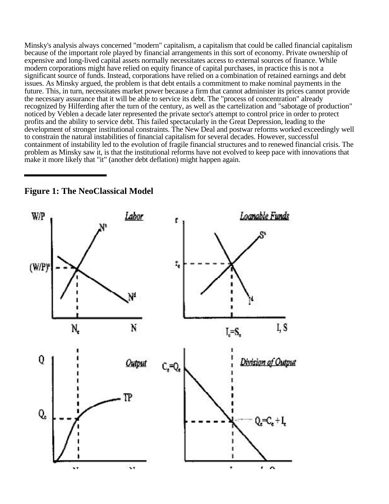Minsky's analysis always concerned "modern" capitalism, a capitalism that could be called financial capitalism because of the important role played by financial arrangements in this sort of economy. Private ownership of expensive and long-lived capital assets normally necessitates access to external sources of finance. While modern corporations might have relied on equity finance of capital purchases, in practice this is not a significant source of funds. Instead, corporations have relied on a combination of retained earnings and debt issues. As Minsky argued, the problem is that debt entails a commitment to make nominal payments in the future. This, in turn, necessitates market power because a firm that cannot administer its prices cannot provide the necessary assurance that it will be able to service its debt. The "process of concentration" already recognized by Hilferding after the turn of the century, as well as the cartelization and "sabotage of production" noticed by Veblen a decade later represented the private sector's attempt to control price in order to protect profits and the ability to service debt. This failed spectacularly in the Great Depression, leading to the development of stronger institutional constraints. The New Deal and postwar reforms worked exceedingly well to constrain the natural instabilities of financial capitalism for several decades. However, successful containment of instability led to the evolution of fragile financial structures and to renewed financial crisis. The problem as Minsky saw it, is that the institutional reforms have not evolved to keep pace with innovations that make it more likely that "it" (another debt deflation) might happen again.



**Figure 1: The NeoClassical Model**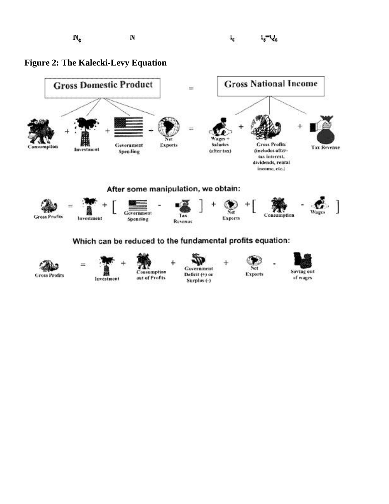





**luvestment** 



Government Deficit (+) or Surplus (-)





of wages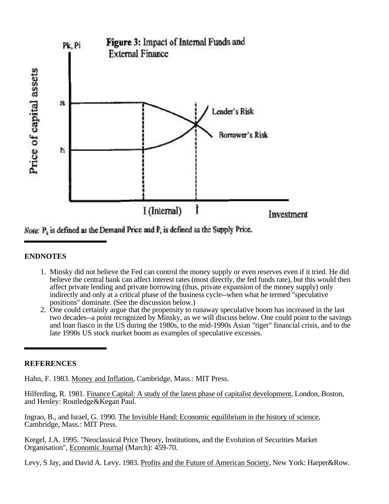

Note:  $P_k$  is defined as the Demand Price and  $P_i$  is defined as the Supply Price.

# **ENDNOTES**

- 1. Minsky did not believe the Fed can control the money supply or even reserves even if it tried. He did believe the central bank can affect interest rates (most directly, the fed funds rate), but this would then affect private lending and private borrowing (thus, private expansion of the money supply) only indirectly and only at a critical phase of the business cycle--when what he termed "speculative positions" dominate. (See the discussion below.)
- 2. One could certainly argue that the propensity to runaway speculative boom has increased in the last two decades--a point recognized by Minsky, as we will discuss below. One could point to the savings and loan fiasco in the US during the 1980s, to the mid-1990s Asian "tiger" financial crisis, and to the late 1990s US stock market boom as examples of speculative excesses.

# **REFERENCES**

Hahn, F. 1983. Money and Inflation, Cambridge, Mass.: MIT Press.

Hilferding, R. 1981. Finance Capital: A study of the latest phase of capitalist development, London, Boston, and Henley: Routledge&Kegan Paul.

Ingrao, B., and Israel, G. 1990. The Invisible Hand: Economic equilibrium in the history of science, Cambridge, Mass.: MIT Press.

Kregel, J.A. 1995. "Neoclassical Price Theory, Institutions, and the Evolution of Securities Market Organisation", Economic Journal (March): 459-70.

Levy, S Jay, and David A. Levy. 1983. Profits and the Future of American Society, New York: Harper&Row.